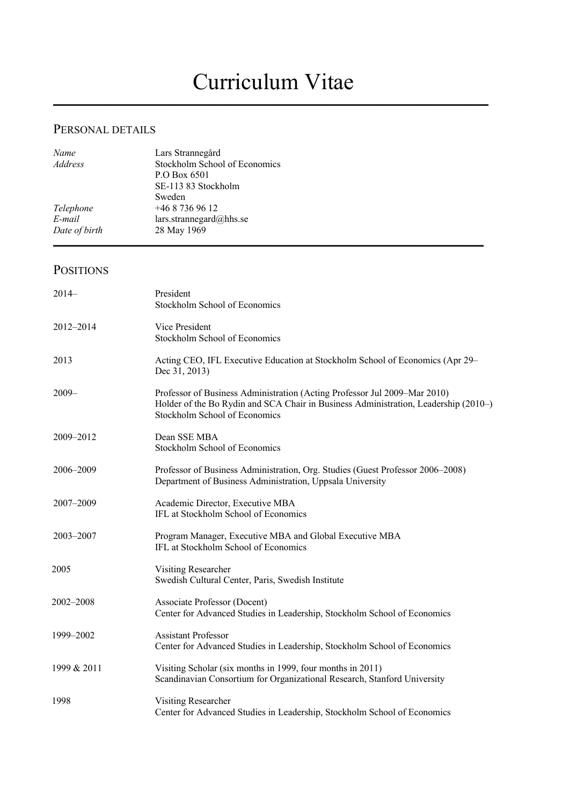# Curriculum Vitae

\_\_\_\_\_\_\_\_\_\_\_\_\_\_\_\_\_\_\_\_\_\_\_\_\_\_\_\_\_\_\_\_\_\_\_\_\_\_\_\_\_\_\_\_\_\_\_\_\_\_\_\_\_\_\_\_\_\_\_\_\_\_\_\_\_\_\_\_\_\_\_\_\_\_\_\_\_\_\_\_\_\_\_\_\_\_\_\_\_\_\_

### PERSONAL DETAILS

| Name          | Lars Strannegård              |
|---------------|-------------------------------|
| Address       | Stockholm School of Economics |
|               | P.O Box 6501                  |
|               | SE-113 83 Stockholm           |
|               | Sweden                        |
| Telephone     | $+4687369612$                 |
| E-mail        | lars.strannegard@hhs.se       |
| Date of birth | 28 May 1969                   |
|               |                               |

### POSITIONS

| $2014-$     | President<br>Stockholm School of Economics                                                                                                                                                        |
|-------------|---------------------------------------------------------------------------------------------------------------------------------------------------------------------------------------------------|
| 2012-2014   | Vice President<br>Stockholm School of Economics                                                                                                                                                   |
| 2013        | Acting CEO, IFL Executive Education at Stockholm School of Economics (Apr 29–<br>Dec 31, 2013)                                                                                                    |
| $2009 -$    | Professor of Business Administration (Acting Professor Jul 2009–Mar 2010)<br>Holder of the Bo Rydin and SCA Chair in Business Administration, Leadership (2010–)<br>Stockholm School of Economics |
| 2009-2012   | Dean SSE MBA<br>Stockholm School of Economics                                                                                                                                                     |
| 2006-2009   | Professor of Business Administration, Org. Studies (Guest Professor 2006–2008)<br>Department of Business Administration, Uppsala University                                                       |
| 2007-2009   | Academic Director, Executive MBA<br>IFL at Stockholm School of Economics                                                                                                                          |
| 2003-2007   | Program Manager, Executive MBA and Global Executive MBA<br>IFL at Stockholm School of Economics                                                                                                   |
| 2005        | Visiting Researcher<br>Swedish Cultural Center, Paris, Swedish Institute                                                                                                                          |
| 2002-2008   | Associate Professor (Docent)<br>Center for Advanced Studies in Leadership, Stockholm School of Economics                                                                                          |
| 1999-2002   | <b>Assistant Professor</b><br>Center for Advanced Studies in Leadership, Stockholm School of Economics                                                                                            |
| 1999 & 2011 | Visiting Scholar (six months in 1999, four months in 2011)<br>Scandinavian Consortium for Organizational Research, Stanford University                                                            |
| 1998        | Visiting Researcher<br>Center for Advanced Studies in Leadership, Stockholm School of Economics                                                                                                   |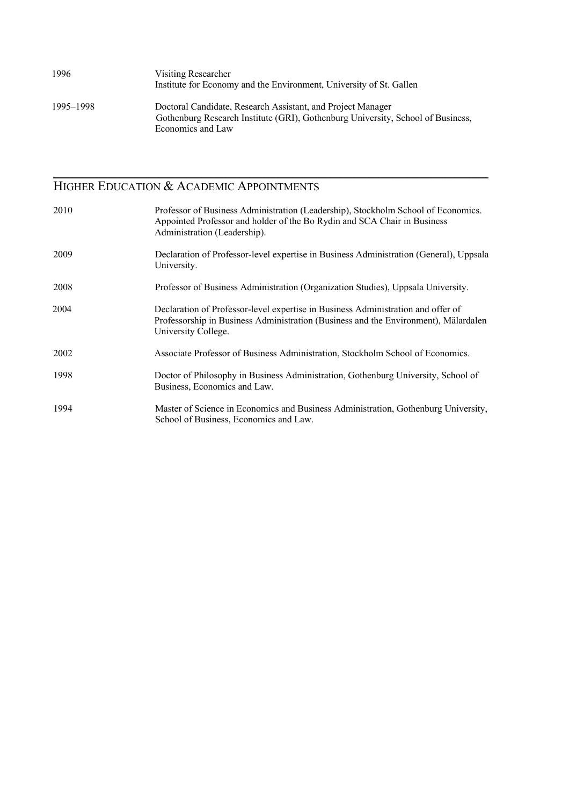| 1996      | Visiting Researcher<br>Institute for Economy and the Environment, University of St. Gallen                                                                          |
|-----------|---------------------------------------------------------------------------------------------------------------------------------------------------------------------|
| 1995–1998 | Doctoral Candidate, Research Assistant, and Project Manager<br>Gothenburg Research Institute (GRI), Gothenburg University, School of Business,<br>Economics and Law |

\_\_\_\_\_\_\_\_\_\_\_\_\_\_\_\_\_\_\_\_\_\_\_\_\_\_\_\_\_\_\_\_\_\_\_\_\_\_\_\_\_\_\_\_\_\_\_\_\_\_\_\_\_\_\_\_\_\_\_\_\_\_\_\_\_\_\_\_\_\_\_\_\_\_\_\_\_\_\_\_\_\_\_\_\_\_\_\_\_\_\_

#### HIGHER EDUCATION & ACADEMIC APPOINTMENTS

| 2010 | Professor of Business Administration (Leadership), Stockholm School of Economics.<br>Appointed Professor and holder of the Bo Rydin and SCA Chair in Business<br>Administration (Leadership).  |
|------|------------------------------------------------------------------------------------------------------------------------------------------------------------------------------------------------|
| 2009 | Declaration of Professor-level expertise in Business Administration (General), Uppsala<br>University.                                                                                          |
| 2008 | Professor of Business Administration (Organization Studies), Uppsala University.                                                                                                               |
| 2004 | Declaration of Professor-level expertise in Business Administration and offer of<br>Professorship in Business Administration (Business and the Environment), Mälardalen<br>University College. |
| 2002 | Associate Professor of Business Administration, Stockholm School of Economics.                                                                                                                 |
| 1998 | Doctor of Philosophy in Business Administration, Gothenburg University, School of<br>Business, Economics and Law.                                                                              |
| 1994 | Master of Science in Economics and Business Administration, Gothenburg University,<br>School of Business, Economics and Law.                                                                   |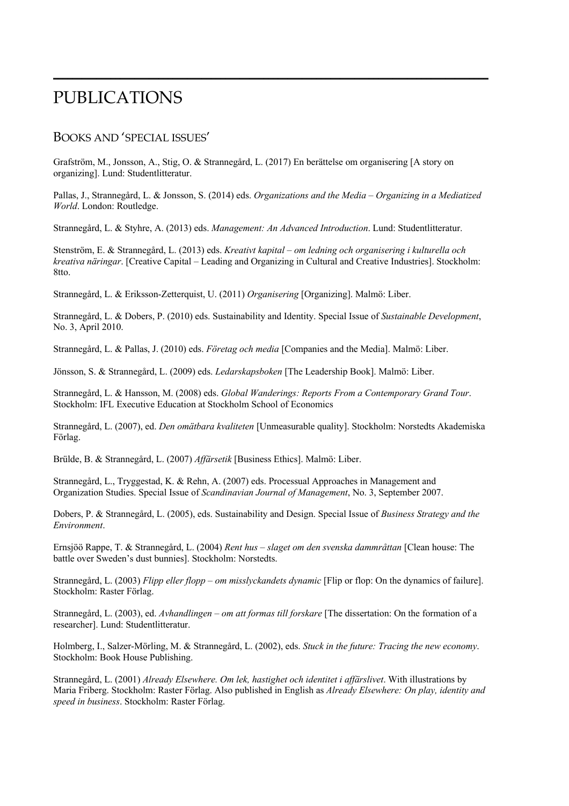# PUBLICATIONS

#### BOOKS AND 'SPECIAL ISSUES'

Grafström, M., Jonsson, A., Stig, O. & Strannegård, L. (2017) En berättelse om organisering [A story on organizing]. Lund: Studentlitteratur.

Pallas, J., Strannegård, L. & Jonsson, S. (2014) eds. *Organizations and the Media – Organizing in a Mediatized World*. London: Routledge.

\_\_\_\_\_\_\_\_\_\_\_\_\_\_\_\_\_\_\_\_\_\_\_\_\_\_\_\_\_\_\_\_\_\_\_\_\_\_\_\_\_\_\_\_\_\_\_\_\_\_\_\_\_\_\_\_\_\_\_\_\_\_\_\_\_\_\_\_\_\_\_\_\_\_\_\_\_\_\_\_\_\_\_\_\_\_\_\_\_\_\_

Strannegård, L. & Styhre, A. (2013) eds. *Management: An Advanced Introduction*. Lund: Studentlitteratur.

Stenström, E. & Strannegård, L. (2013) eds. *Kreativt kapital – om ledning och organisering i kulturella och kreativa näringar*. [Creative Capital – Leading and Organizing in Cultural and Creative Industries]. Stockholm: 8tto.

Strannegård, L. & Eriksson-Zetterquist, U. (2011) *Organisering* [Organizing]. Malmö: Liber.

Strannegård, L. & Dobers, P. (2010) eds. Sustainability and Identity. Special Issue of *Sustainable Development*, No. 3, April 2010.

Strannegård, L. & Pallas, J. (2010) eds. *Företag och media* [Companies and the Media]. Malmö: Liber.

Jönsson, S. & Strannegård, L. (2009) eds. *Ledarskapsboken* [The Leadership Book]. Malmö: Liber.

Strannegård, L. & Hansson, M. (2008) eds. *Global Wanderings: Reports From a Contemporary Grand Tour*. Stockholm: IFL Executive Education at Stockholm School of Economics

Strannegård, L. (2007), ed. *Den omätbara kvaliteten* [Unmeasurable quality]. Stockholm: Norstedts Akademiska Förlag.

Brülde, B. & Strannegård, L. (2007) *Affärsetik* [Business Ethics]. Malmö: Liber.

Strannegård, L., Tryggestad, K. & Rehn, A. (2007) eds. Processual Approaches in Management and Organization Studies. Special Issue of *Scandinavian Journal of Management*, No. 3, September 2007.

Dobers, P. & Strannegård, L. (2005), eds. Sustainability and Design. Special Issue of *Business Strategy and the Environment*.

Ernsjöö Rappe, T. & Strannegård, L. (2004) *Rent hus – slaget om den svenska dammråttan* [Clean house: The battle over Sweden's dust bunnies]. Stockholm: Norstedts.

Strannegård, L. (2003) *Flipp eller flopp – om misslyckandets dynamic* [Flip or flop: On the dynamics of failure]. Stockholm: Raster Förlag.

Strannegård, L. (2003), ed. *Avhandlingen – om att formas till forskare* [The dissertation: On the formation of a researcher]. Lund: Studentlitteratur.

Holmberg, I., Salzer-Mörling, M. & Strannegård, L. (2002), eds. *Stuck in the future: Tracing the new economy*. Stockholm: Book House Publishing.

Strannegård, L. (2001) *Already Elsewhere. Om lek, hastighet och identitet i affärslivet*. With illustrations by Maria Friberg. Stockholm: Raster Förlag. Also published in English as *Already Elsewhere: On play, identity and speed in business*. Stockholm: Raster Förlag.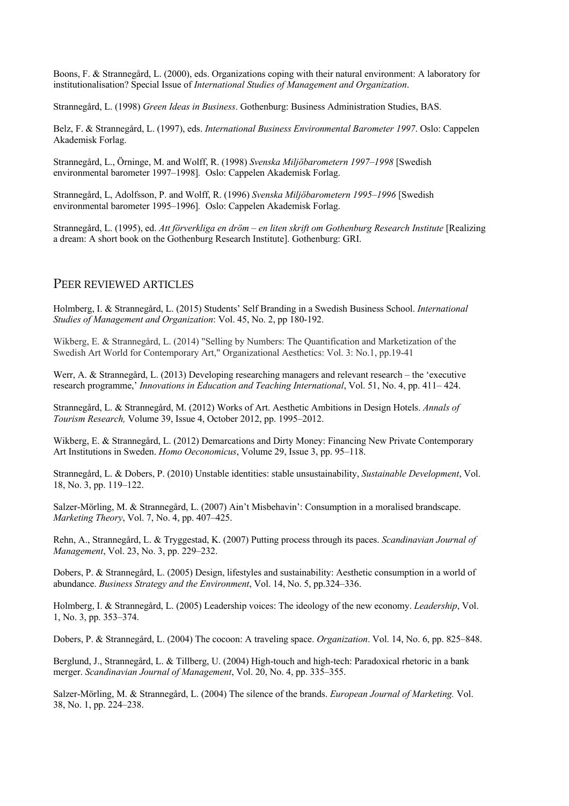Boons, F. & Strannegård, L. (2000), eds. Organizations coping with their natural environment: A laboratory for institutionalisation? Special Issue of *International Studies of Management and Organization*.

Strannegård, L. (1998) *Green Ideas in Business*. Gothenburg: Business Administration Studies, BAS.

Belz, F. & Strannegård, L. (1997), eds. *International Business Environmental Barometer 1997*. Oslo: Cappelen Akademisk Forlag.

Strannegård, L., Örninge, M. and Wolff, R. (1998) *Svenska Miljöbarometern 1997–1998* [Swedish environmental barometer 1997–1998]*.* Oslo: Cappelen Akademisk Forlag.

Strannegård, L, Adolfsson, P. and Wolff, R. (1996) *Svenska Miljöbarometern 1995–1996* [Swedish environmental barometer 1995–1996]*.* Oslo: Cappelen Akademisk Forlag.

Strannegård, L. (1995), ed. *Att förverkliga en dröm – en liten skrift om Gothenburg Research Institute* [Realizing a dream: A short book on the Gothenburg Research Institute]. Gothenburg: GRI.

#### PEER REVIEWED ARTICLES

Holmberg, I. & Strannegård, L. (2015) Students' Self Branding in a Swedish Business School. *International Studies of Management and Organization*: Vol. 45, No. 2, pp 180-192.

Wikberg, E. & Strannegård, L. (2014) "Selling by Numbers: The Quantification and Marketization of the Swedish Art World for Contemporary Art," Organizational Aesthetics: Vol. 3: No.1, pp.19-41

Werr, A. & Strannegård, L. (2013) Developing researching managers and relevant research – the 'executive research programme,' *Innovations in Education and Teaching International*, Vol. 51, No. 4, pp. 411– 424.

Strannegård, L. & Strannegård, M. (2012) Works of Art. Aesthetic Ambitions in Design Hotels. *Annals of Tourism Research,* Volume 39, Issue 4, October 2012, pp. 1995–2012.

Wikberg, E. & Strannegård, L. (2012) Demarcations and Dirty Money: Financing New Private Contemporary Art Institutions in Sweden. *Homo Oeconomicus*, Volume 29, Issue 3, pp. 95–118.

Strannegård, L. & Dobers, P. (2010) Unstable identities: stable unsustainability, *Sustainable Development*, Vol. 18, No. 3, pp. 119–122.

Salzer-Mörling, M. & Strannegård, L. (2007) Ain't Misbehavin': Consumption in a moralised brandscape. *Marketing Theory*, Vol. 7, No. 4, pp. 407–425.

Rehn, A., Strannegård, L. & Tryggestad, K. (2007) Putting process through its paces. *Scandinavian Journal of Management*, Vol. 23, No. 3, pp. 229–232.

Dobers, P. & Strannegård, L. (2005) Design, lifestyles and sustainability: Aesthetic consumption in a world of abundance. *Business Strategy and the Environment*, Vol. 14, No. 5, pp.324–336.

Holmberg, I. & Strannegård, L. (2005) Leadership voices: The ideology of the new economy. *Leadership*, Vol. 1, No. 3, pp. 353–374.

Dobers, P. & Strannegård, L. (2004) The cocoon: A traveling space. *Organization*. Vol. 14, No. 6, pp. 825–848.

Berglund, J., Strannegård, L. & Tillberg, U. (2004) High-touch and high-tech: Paradoxical rhetoric in a bank merger. *Scandinavian Journal of Management*, Vol. 20, No. 4, pp. 335–355.

Salzer-Mörling, M. & Strannegård, L. (2004) The silence of the brands. *European Journal of Marketing.* Vol. 38, No. 1, pp. 224–238.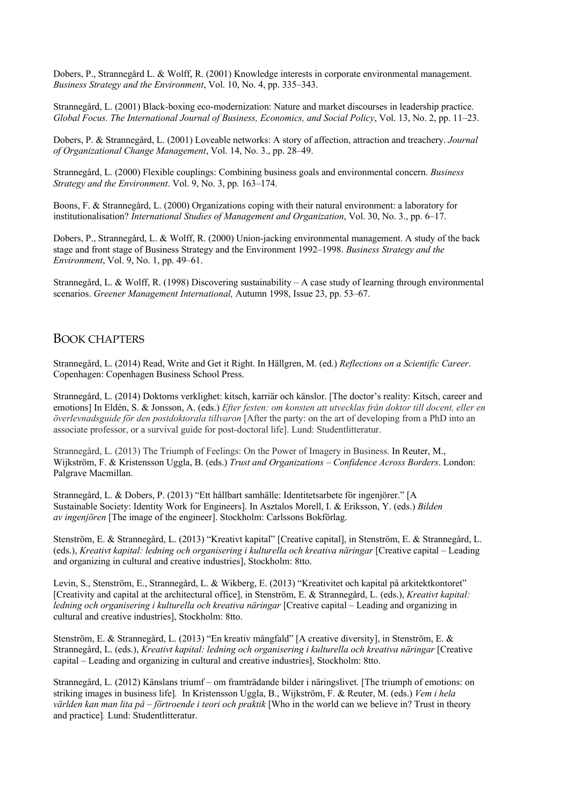Dobers, P., Strannegård L. & Wolff, R. (2001) Knowledge interests in corporate environmental management. *Business Strategy and the Environment*, Vol. 10, No. 4, pp. 335–343.

Strannegård, L. (2001) Black-boxing eco-modernization: Nature and market discourses in leadership practice. *Global Focus. The International Journal of Business, Economics, and Social Policy*, Vol. 13, No. 2, pp. 11–23.

Dobers, P. & Strannegård, L. (2001) Loveable networks: A story of affection, attraction and treachery. *Journal of Organizational Change Management*, Vol. 14, No. 3., pp. 28–49.

Strannegård, L. (2000) Flexible couplings: Combining business goals and environmental concern. *Business Strategy and the Environment*. Vol. 9, No. 3, pp. 163–174.

Boons, F. & Strannegård, L. (2000) Organizations coping with their natural environment: a laboratory for institutionalisation? *International Studies of Management and Organization*, Vol. 30, No. 3., pp. 6–17.

Dobers, P., Strannegård, L. & Wolff, R. (2000) Union-jacking environmental management. A study of the back stage and front stage of Business Strategy and the Environment 1992–1998. *Business Strategy and the Environment*, Vol. 9, No. 1, pp. 49–61.

Strannegård, L. & Wolff, R. (1998) Discovering sustainability – A case study of learning through environmental scenarios. *Greener Management International,* Autumn 1998, Issue 23, pp. 53–67.

#### BOOK CHAPTERS

Strannegård, L. (2014) Read, Write and Get it Right. In Hällgren, M. (ed.) *Reflections on a Scientific Career*. Copenhagen: Copenhagen Business School Press.

Strannegård, L. (2014) Doktorns verklighet: kitsch, karriär och känslor. [The doctor's reality: Kitsch, career and emotions] In Eldén, S. & Jonsson, A. (eds.) *Efter festen: om konsten att utvecklas från doktor till docent, eller en överlevnadsguide för den postdoktorala tillvaron* [After the party: on the art of developing from a PhD into an associate professor, or a survival guide for post-doctoral life]. Lund: Studentlitteratur.

Strannegård, L. (2013) The Triumph of Feelings: On the Power of Imagery in Business. In Reuter, M., Wijkström, F. & Kristensson Uggla, B. (eds.) *Trust and Organizations – Confidence Across Borders*. London: Palgrave Macmillan.

Strannegård, L. & Dobers, P. (2013) "Ett hållbart samhälle: Identitetsarbete för ingenjörer." [A Sustainable Society: Identity Work for Engineers]. In Asztalos Morell, I. & Eriksson, Y. (eds.) *Bilden av ingenjören* [The image of the engineer]. Stockholm: Carlssons Bokförlag.

Stenström, E. & Strannegård, L. (2013) "Kreativt kapital" [Creative capital], in Stenström, E. & Strannegård, L. (eds.), *Kreativt kapital: ledning och organisering i kulturella och kreativa näringar* [Creative capital – Leading and organizing in cultural and creative industries], Stockholm: 8tto.

Levin, S., Stenström, E., Strannegård, L. & Wikberg, E. (2013) "Kreativitet och kapital på arkitektkontoret" [Creativity and capital at the architectural office], in Stenström, E. & Strannegård, L. (eds.), *Kreativt kapital: ledning och organisering i kulturella och kreativa näringar* [Creative capital – Leading and organizing in cultural and creative industries], Stockholm: 8tto.

Stenström, E. & Strannegård, L. (2013) "En kreativ mångfald" [A creative diversity], in Stenström, E. & Strannegård, L. (eds.), *Kreativt kapital: ledning och organisering i kulturella och kreativa näringar* [Creative capital – Leading and organizing in cultural and creative industries], Stockholm: 8tto.

Strannegård, L. (2012) Känslans triumf – om framträdande bilder i näringslivet. [The triumph of emotions: on striking images in business life]*.* In Kristensson Uggla, B., Wijkström, F. & Reuter, M. (eds.) *Vem i hela världen kan man lita på – förtroende i teori och praktik* [Who in the world can we believe in? Trust in theory and practice]*.* Lund: Studentlitteratur.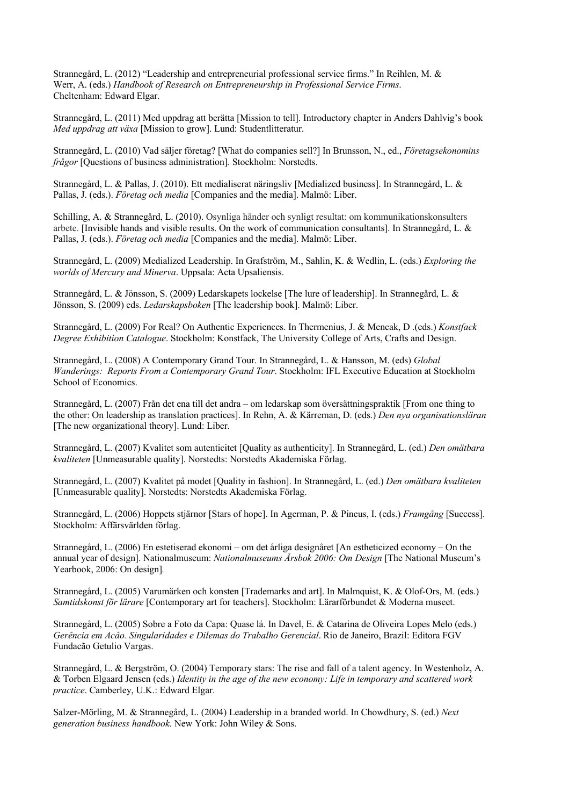Strannegård, L. (2012) "Leadership and entrepreneurial professional service firms." In Reihlen, M. & Werr, A. (eds.) *Handbook of Research on Entrepreneurship in Professional Service Firms*. Cheltenham: Edward Elgar.

Strannegård, L. (2011) Med uppdrag att berätta [Mission to tell]. Introductory chapter in Anders Dahlvig's book *Med uppdrag att växa* [Mission to grow]. Lund: Studentlitteratur.

Strannegård, L. (2010) Vad säljer företag? [What do companies sell?] In Brunsson, N., ed., *Företagsekonomins frågor* [Questions of business administration]*.* Stockholm: Norstedts.

Strannegård, L. & Pallas, J. (2010). Ett medialiserat näringsliv [Medialized business]. In Strannegård, L. & Pallas, J. (eds.). *Företag och media* [Companies and the media]. Malmö: Liber.

Schilling, A. & Strannegård, L. (2010). Osynliga händer och synligt resultat: om kommunikationskonsulters arbete. [Invisible hands and visible results. On the work of communication consultants]. In Strannegård, L. & Pallas, J. (eds.). *Företag och media* [Companies and the media]. Malmö: Liber.

Strannegård, L. (2009) Medialized Leadership. In Grafström, M., Sahlin, K. & Wedlin, L. (eds.) *Exploring the worlds of Mercury and Minerva*. Uppsala: Acta Upsaliensis.

Strannegård, L. & Jönsson, S. (2009) Ledarskapets lockelse [The lure of leadership]. In Strannegård, L. & Jönsson, S. (2009) eds. *Ledarskapsboken* [The leadership book]. Malmö: Liber.

Strannegård, L. (2009) For Real? On Authentic Experiences. In Thermenius, J. & Mencak, D .(eds.) *Konstfack Degree Exhibition Catalogue*. Stockholm: Konstfack, The University College of Arts, Crafts and Design.

Strannegård, L. (2008) A Contemporary Grand Tour. In Strannegård, L. & Hansson, M. (eds) *Global Wanderings: Reports From a Contemporary Grand Tour*. Stockholm: IFL Executive Education at Stockholm School of Economics.

Strannegård, L. (2007) Från det ena till det andra – om ledarskap som översättningspraktik [From one thing to the other: On leadership as translation practices]. In Rehn, A. & Kärreman, D. (eds.) *Den nya organisationsläran* [The new organizational theory]. Lund: Liber.

Strannegård, L. (2007) Kvalitet som autenticitet [Quality as authenticity]. In Strannegård, L. (ed.) *Den omätbara kvaliteten* [Unmeasurable quality]. Norstedts: Norstedts Akademiska Förlag.

Strannegård, L. (2007) Kvalitet på modet [Quality in fashion]. In Strannegård, L. (ed.) *Den omätbara kvaliteten* [Unmeasurable quality]. Norstedts: Norstedts Akademiska Förlag.

Strannegård, L. (2006) Hoppets stjärnor [Stars of hope]. In Agerman, P. & Pineus, I. (eds.) *Framgång* [Success]. Stockholm: Affärsvärlden förlag.

Strannegård, L. (2006) En estetiserad ekonomi – om det årliga designåret [An estheticized economy – On the annual year of design]. Nationalmuseum: *Nationalmuseums Årsbok 2006: Om Design* [The National Museum's Yearbook, 2006: On design]*.* 

Strannegård, L. (2005) Varumärken och konsten [Trademarks and art]. In Malmquist, K. & Olof-Ors, M. (eds.) *Samtidskonst för lärare* [Contemporary art for teachers]. Stockholm: Lärarförbundet & Moderna museet.

Strannegård, L. (2005) Sobre a Foto da Capa: Quase lá. In Davel, E. & Catarina de Oliveira Lopes Melo (eds.) *Gerência em Acâo. Singularidades e Dilemas do Trabalho Gerencial*. Rio de Janeiro, Brazil: Editora FGV Fundacão Getulio Vargas.

Strannegård, L. & Bergström, O. (2004) Temporary stars: The rise and fall of a talent agency. In Westenholz, A. & Torben Elgaard Jensen (eds.) *Identity in the age of the new economy: Life in temporary and scattered work practice*. Camberley, U.K.: Edward Elgar.

Salzer-Mörling, M. & Strannegård, L. (2004) Leadership in a branded world. In Chowdhury, S. (ed.) *Next generation business handbook.* New York: John Wiley & Sons.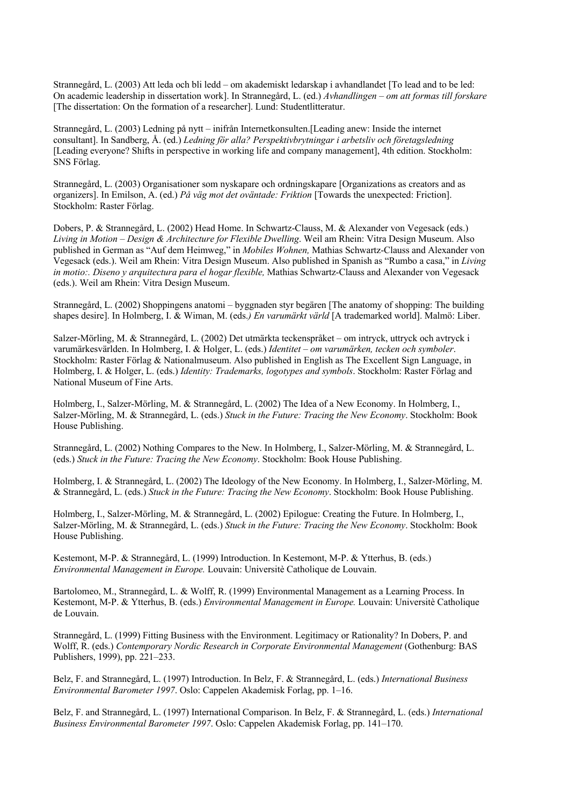Strannegård, L. (2003) Att leda och bli ledd – om akademiskt ledarskap i avhandlandet [To lead and to be led: On academic leadership in dissertation work]. In Strannegård, L. (ed.) *Avhandlingen – om att formas till forskare* [The dissertation: On the formation of a researcher]. Lund: Studentlitteratur.

Strannegård, L. (2003) Ledning på nytt – inifrån Internetkonsulten.[Leading anew: Inside the internet consultant]. In Sandberg, Å. (ed.) *Ledning för alla? Perspektivbrytningar i arbetsliv och företagsledning* [Leading everyone? Shifts in perspective in working life and company management], 4th edition. Stockholm: SNS Förlag.

Strannegård, L. (2003) Organisationer som nyskapare och ordningskapare [Organizations as creators and as organizers]. In Emilson, A. (ed.) *På väg mot det oväntade: Friktion* [Towards the unexpected: Friction]. Stockholm: Raster Förlag.

Dobers, P. & Strannegård, L. (2002) Head Home. In Schwartz-Clauss, M. & Alexander von Vegesack (eds.) *Living in Motion – Design & Architecture for Flexible Dwelling*. Weil am Rhein: Vitra Design Museum. Also published in German as "Auf dem Heimweg," in *Mobiles Wohnen,* Mathias Schwartz-Clauss and Alexander von Vegesack (eds.). Weil am Rhein: Vitra Design Museum. Also published in Spanish as "Rumbo a casa," in *Living in motio:. Diseno y arquitectura para el hogar flexible,* Mathias Schwartz-Clauss and Alexander von Vegesack (eds.). Weil am Rhein: Vitra Design Museum.

Strannegård, L. (2002) Shoppingens anatomi – byggnaden styr begären [The anatomy of shopping: The building shapes desire]. In Holmberg, I. & Wiman, M. (eds.*) En varumärkt värld* [A trademarked world]. Malmö: Liber.

Salzer-Mörling, M. & Strannegård, L. (2002) Det utmärkta teckenspråket – om intryck, uttryck och avtryck i varumärkesvärlden. In Holmberg, I. & Holger, L. (eds.) *Identitet – om varumärken, tecken och symboler*. Stockholm: Raster Förlag & Nationalmuseum. Also published in English as The Excellent Sign Language, in Holmberg, I. & Holger, L. (eds.) *Identity: Trademarks, logotypes and symbols*. Stockholm: Raster Förlag and National Museum of Fine Arts.

Holmberg, I., Salzer-Mörling, M. & Strannegård, L. (2002) The Idea of a New Economy. In Holmberg, I., Salzer-Mörling, M. & Strannegård, L. (eds.) *Stuck in the Future: Tracing the New Economy*. Stockholm: Book House Publishing.

Strannegård, L. (2002) Nothing Compares to the New. In Holmberg, I., Salzer-Mörling, M. & Strannegård, L. (eds.) *Stuck in the Future: Tracing the New Economy*. Stockholm: Book House Publishing.

Holmberg, I. & Strannegård, L. (2002) The Ideology of the New Economy. In Holmberg, I., Salzer-Mörling, M. & Strannegård, L. (eds.) *Stuck in the Future: Tracing the New Economy*. Stockholm: Book House Publishing.

Holmberg, I., Salzer-Mörling, M. & Strannegård, L. (2002) Epilogue: Creating the Future. In Holmberg, I., Salzer-Mörling, M. & Strannegård, L. (eds.) *Stuck in the Future: Tracing the New Economy*. Stockholm: Book House Publishing.

Kestemont, M-P. & Strannegård, L. (1999) Introduction. In Kestemont, M-P. & Ytterhus, B. (eds.) *Environmental Management in Europe.* Louvain: Universitè Catholique de Louvain.

Bartolomeo, M., Strannegård, L. & Wolff, R. (1999) Environmental Management as a Learning Process. In Kestemont, M-P. & Ytterhus, B. (eds.) *Environmental Management in Europe.* Louvain: Universitè Catholique de Louvain.

Strannegård, L. (1999) Fitting Business with the Environment. Legitimacy or Rationality? In Dobers, P. and Wolff, R. (eds.) *Contemporary Nordic Research in Corporate Environmental Management* (Gothenburg: BAS Publishers, 1999), pp. 221–233.

Belz, F. and Strannegård, L. (1997) Introduction. In Belz, F. & Strannegård, L. (eds.) *International Business Environmental Barometer 1997*. Oslo: Cappelen Akademisk Forlag, pp. 1–16.

Belz, F. and Strannegård, L. (1997) International Comparison. In Belz, F. & Strannegård, L. (eds.) *International Business Environmental Barometer 1997*. Oslo: Cappelen Akademisk Forlag, pp. 141–170.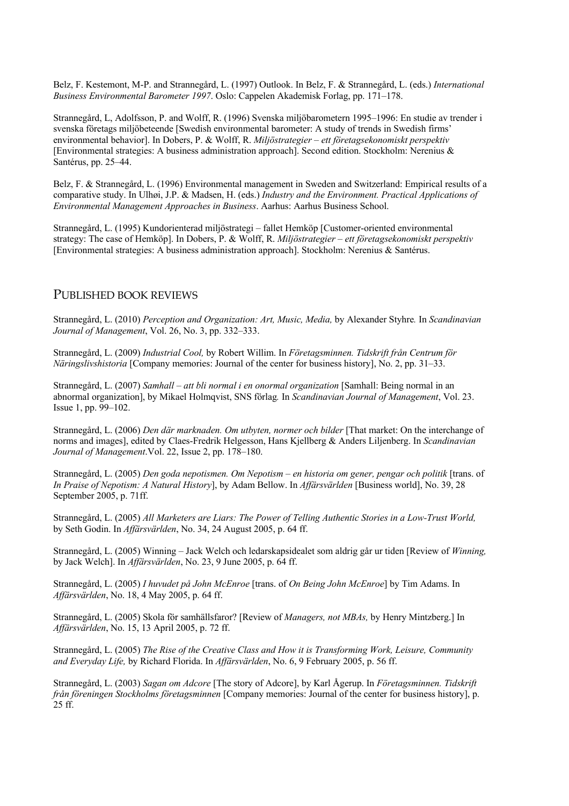Belz, F. Kestemont, M-P. and Strannegård, L. (1997) Outlook. In Belz, F. & Strannegård, L. (eds.) *International Business Environmental Barometer 1997*. Oslo: Cappelen Akademisk Forlag, pp. 171–178.

Strannegård, L, Adolfsson, P. and Wolff, R. (1996) Svenska miljöbarometern 1995–1996: En studie av trender i svenska företags miljöbeteende [Swedish environmental barometer: A study of trends in Swedish firms' environmental behavior]. In Dobers, P. & Wolff, R. *Miljöstrategier – ett företagsekonomiskt perspektiv* [Environmental strategies: A business administration approach]. Second edition. Stockholm: Nerenius & Santérus, pp. 25–44.

Belz, F. & Strannegård, L. (1996) Environmental management in Sweden and Switzerland: Empirical results of a comparative study. In Ulhøi, J.P. & Madsen, H. (eds.) *Industry and the Environment. Practical Applications of Environmental Management Approaches in Business*. Aarhus: Aarhus Business School.

Strannegård, L. (1995) Kundorienterad miljöstrategi – fallet Hemköp [Customer-oriented environmental strategy: The case of Hemköp]. In Dobers, P. & Wolff, R. *Miljöstrategier – ett företagsekonomiskt perspektiv* [Environmental strategies: A business administration approach]. Stockholm: Nerenius & Santérus.

#### PUBLISHED BOOK REVIEWS

Strannegård, L. (2010) *Perception and Organization: Art, Music, Media,* by Alexander Styhre*.* In *Scandinavian Journal of Management*, Vol. 26, No. 3, pp. 332–333.

Strannegård, L. (2009) *Industrial Cool,* by Robert Willim. In *Företagsminnen. Tidskrift från Centrum för Näringslivshistoria* [Company memories: Journal of the center for business history], No. 2, pp. 31–33.

Strannegård, L. (2007) *Samhall – att bli normal i en onormal organization* [Samhall: Being normal in an abnormal organization], by Mikael Holmqvist, SNS förlag*.* In *Scandinavian Journal of Management*, Vol. 23. Issue 1, pp. 99–102.

Strannegård, L. (2006) *Den där marknaden. Om utbyten, normer och bilder* [That market: On the interchange of norms and images], edited by Claes-Fredrik Helgesson, Hans Kjellberg & Anders Liljenberg. In *Scandinavian Journal of Management*.Vol. 22, Issue 2, pp. 178–180.

Strannegård, L. (2005) *Den goda nepotismen. Om Nepotism – en historia om gener, pengar och politik* [trans. of *In Praise of Nepotism: A Natural History*], by Adam Bellow. In *Affärsvärlden* [Business world], No. 39, 28 September 2005, p. 71ff.

Strannegård, L. (2005) *All Marketers are Liars: The Power of Telling Authentic Stories in a Low-Trust World,* by Seth Godin. In *Affärsvärlden*, No. 34, 24 August 2005, p. 64 ff.

Strannegård, L. (2005) Winning – Jack Welch och ledarskapsidealet som aldrig går ur tiden [Review of *Winning,* by Jack Welch]. In *Affärsvärlden*, No. 23, 9 June 2005, p. 64 ff.

Strannegård, L. (2005) *I huvudet på John McEnroe* [trans. of *On Being John McEnroe*] by Tim Adams. In *Affärsvärlden*, No. 18, 4 May 2005, p. 64 ff.

Strannegård, L. (2005) Skola för samhällsfaror? [Review of *Managers, not MBAs,* by Henry Mintzberg.] In *Affärsvärlden*, No. 15, 13 April 2005, p. 72 ff.

Strannegård, L. (2005) *The Rise of the Creative Class and How it is Transforming Work, Leisure, Community and Everyday Life,* by Richard Florida. In *Affärsvärlden*, No. 6, 9 February 2005, p. 56 ff.

Strannegård, L. (2003) *Sagan om Adcore* [The story of Adcore], by Karl Ågerup. In *Företagsminnen. Tidskrift från föreningen Stockholms företagsminnen* [Company memories: Journal of the center for business history], p. 25 ff.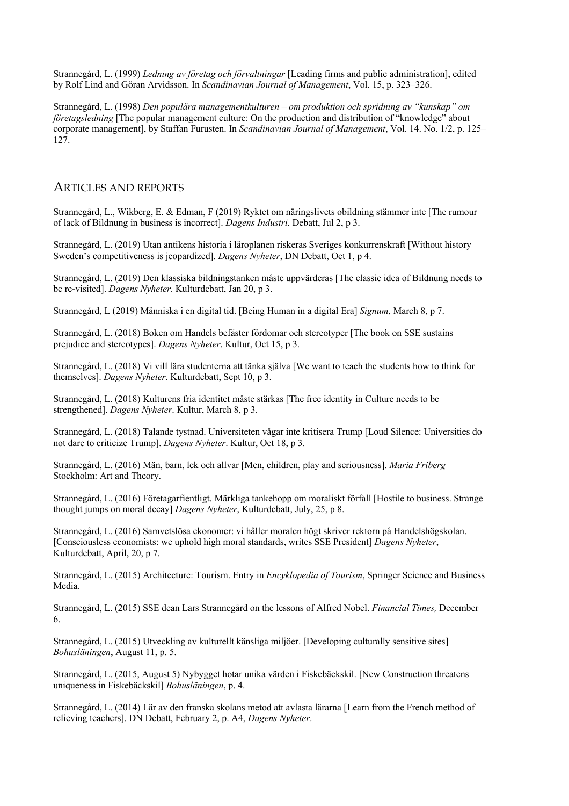Strannegård, L. (1999) *Ledning av företag och förvaltningar* [Leading firms and public administration], edited by Rolf Lind and Göran Arvidsson. In *Scandinavian Journal of Management*, Vol. 15, p. 323–326.

Strannegård, L. (1998) *Den populära managementkulturen – om produktion och spridning av "kunskap" om företagsledning* [The popular management culture: On the production and distribution of "knowledge" about corporate management], by Staffan Furusten. In *Scandinavian Journal of Management*, Vol. 14. No. 1/2, p. 125– 127.

#### ARTICLES AND REPORTS

Strannegård, L., Wikberg, E. & Edman, F (2019) Ryktet om näringslivets obildning stämmer inte [The rumour of lack of Bildnung in business is incorrect]. *Dagens Industri*. Debatt, Jul 2, p 3.

Strannegård, L. (2019) Utan antikens historia i läroplanen riskeras Sveriges konkurrenskraft [Without history Sweden's competitiveness is jeopardized]. *Dagens Nyheter*, DN Debatt, Oct 1, p 4.

Strannegård, L. (2019) Den klassiska bildningstanken måste uppvärderas [The classic idea of Bildnung needs to be re-visited]. *Dagens Nyheter*. Kulturdebatt, Jan 20, p 3.

Strannegård, L (2019) Människa i en digital tid. [Being Human in a digital Era] *Signum*, March 8, p 7.

Strannegård, L. (2018) Boken om Handels befäster fördomar och stereotyper [The book on SSE sustains prejudice and stereotypes]. *Dagens Nyheter*. Kultur, Oct 15, p 3.

Strannegård, L. (2018) Vi vill lära studenterna att tänka själva [We want to teach the students how to think for themselves]. *Dagens Nyheter*. Kulturdebatt, Sept 10, p 3.

Strannegård, L. (2018) Kulturens fria identitet måste stärkas [The free identity in Culture needs to be strengthened]. *Dagens Nyheter*. Kultur, March 8, p 3.

Strannegård, L. (2018) Talande tystnad. Universiteten vågar inte kritisera Trump [Loud Silence: Universities do not dare to criticize Trump]. *Dagens Nyheter*. Kultur, Oct 18, p 3.

Strannegård, L. (2016) Män, barn, lek och allvar [Men, children, play and seriousness]. *Maria Friberg*  Stockholm: Art and Theory.

Strannegård, L. (2016) Företagarfientligt. Märkliga tankehopp om moraliskt förfall [Hostile to business. Strange thought jumps on moral decay] *Dagens Nyheter*, Kulturdebatt, July, 25, p 8.

Strannegård, L. (2016) Samvetslösa ekonomer: vi håller moralen högt skriver rektorn på Handelshögskolan. [Consciousless economists: we uphold high moral standards, writes SSE President] *Dagens Nyheter*, Kulturdebatt, April, 20, p 7.

Strannegård, L. (2015) Architecture: Tourism. Entry in *Encyklopedia of Tourism*, Springer Science and Business Media.

Strannegård, L. (2015) SSE dean Lars Strannegård on the lessons of Alfred Nobel. *Financial Times,* December 6.

Strannegård, L. (2015) Utveckling av kulturellt känsliga miljöer. [Developing culturally sensitive sites] *Bohusläningen*, August 11, p. 5.

Strannegård, L. (2015, August 5) Nybygget hotar unika värden i Fiskebäckskil. [New Construction threatens uniqueness in Fiskebäckskil] *Bohusläningen*, p. 4.

Strannegård, L. (2014) Lär av den franska skolans metod att avlasta lärarna [Learn from the French method of relieving teachers]. DN Debatt, February 2, p. A4, *Dagens Nyheter*.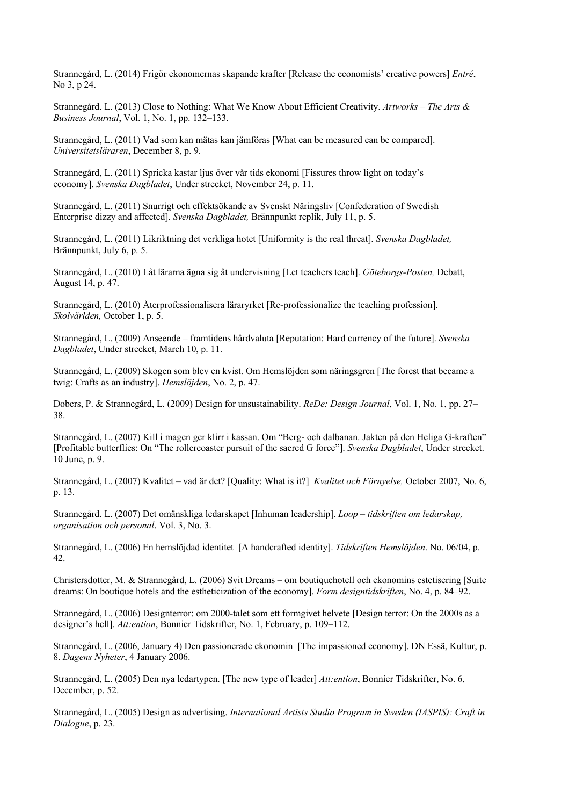Strannegård, L. (2014) Frigör ekonomernas skapande krafter [Release the economists' creative powers] *Entré*, No 3, p 24.

Strannegård. L. (2013) Close to Nothing: What We Know About Efficient Creativity. *Artworks – The Arts & Business Journal*, Vol. 1, No. 1, pp. 132–133.

Strannegård, L. (2011) Vad som kan mätas kan jämföras [What can be measured can be compared]. *Universitetsläraren*, December 8, p. 9.

Strannegård, L. (2011) Spricka kastar ljus över vår tids ekonomi [Fissures throw light on today's economy]. *Svenska Dagbladet*, Under strecket, November 24, p. 11.

Strannegård, L. (2011) Snurrigt och effektsökande av Svenskt Näringsliv [Confederation of Swedish Enterprise dizzy and affected]. *Svenska Dagbladet,* Brännpunkt replik, July 11, p. 5.

Strannegård, L. (2011) Likriktning det verkliga hotet [Uniformity is the real threat]. *Svenska Dagbladet,* Brännpunkt, July 6, p. 5.

Strannegård, L. (2010) Låt lärarna ägna sig åt undervisning [Let teachers teach]. *Göteborgs-Posten,* Debatt, August 14, p. 47.

Strannegård, L. (2010) Återprofessionalisera läraryrket [Re-professionalize the teaching profession]. *Skolvärlden,* October 1, p. 5.

Strannegård, L. (2009) Anseende – framtidens hårdvaluta [Reputation: Hard currency of the future]. *Svenska Dagbladet*, Under strecket, March 10, p. 11.

Strannegård, L. (2009) Skogen som blev en kvist. Om Hemslöjden som näringsgren [The forest that became a twig: Crafts as an industry]. *Hemslöjden*, No. 2, p. 47.

Dobers, P. & Strannegård, L. (2009) Design for unsustainability. *ReDe: Design Journal*, Vol. 1, No. 1, pp. 27– 38.

Strannegård, L. (2007) Kill i magen ger klirr i kassan. Om "Berg- och dalbanan. Jakten på den Heliga G-kraften" [Profitable butterflies: On "The rollercoaster pursuit of the sacred G force"]. *Svenska Dagbladet*, Under strecket. 10 June, p. 9.

Strannegård, L. (2007) Kvalitet – vad är det? [Quality: What is it?] *Kvalitet och Förnyelse,* October 2007, No. 6, p. 13.

Strannegård. L. (2007) Det omänskliga ledarskapet [Inhuman leadership]. *Loop – tidskriften om ledarskap, organisation och personal*. Vol. 3, No. 3.

Strannegård, L. (2006) En hemslöjdad identitet [A handcrafted identity]. *Tidskriften Hemslöjden*. No. 06/04, p. 42.

Christersdotter, M. & Strannegård, L. (2006) Svit Dreams – om boutiquehotell och ekonomins estetisering [Suite dreams: On boutique hotels and the estheticization of the economy]. *Form designtidskriften*, No. 4, p. 84–92.

Strannegård, L. (2006) Designterror: om 2000-talet som ett formgivet helvete [Design terror: On the 2000s as a designer's hell]. *Att:ention*, Bonnier Tidskrifter, No. 1, February, p. 109–112.

Strannegård, L. (2006, January 4) Den passionerade ekonomin [The impassioned economy]. DN Essä, Kultur, p. 8. *Dagens Nyheter*, 4 January 2006.

Strannegård, L. (2005) Den nya ledartypen. [The new type of leader] *Att:ention*, Bonnier Tidskrifter, No. 6, December, p. 52.

Strannegård, L. (2005) Design as advertising. *International Artists Studio Program in Sweden (IASPIS): Craft in Dialogue*, p. 23.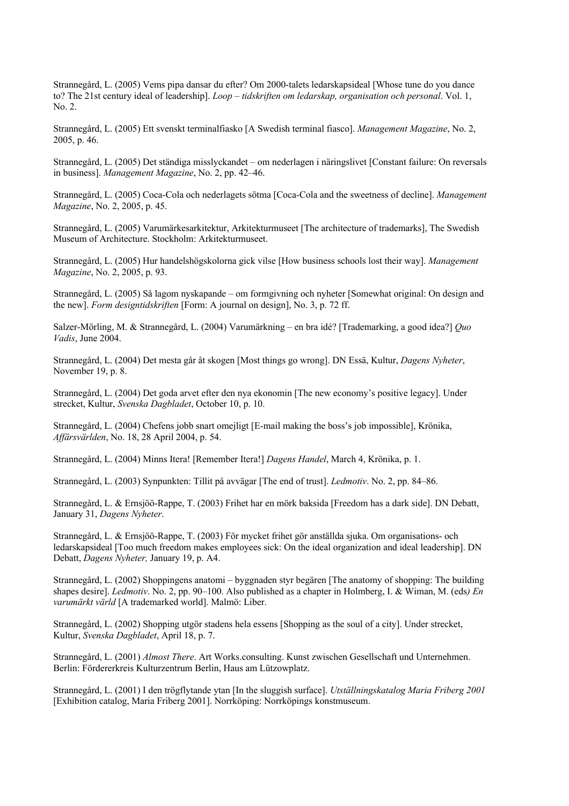Strannegård, L. (2005) Vems pipa dansar du efter? Om 2000-talets ledarskapsideal [Whose tune do you dance to? The 21st century ideal of leadership]. *Loop – tidskriften om ledarskap, organisation och personal*. Vol. 1, No. 2.

Strannegård, L. (2005) Ett svenskt terminalfiasko [A Swedish terminal fiasco]. *Management Magazine*, No. 2, 2005, p. 46.

Strannegård, L. (2005) Det ständiga misslyckandet – om nederlagen i näringslivet [Constant failure: On reversals in business]. *Management Magazine*, No. 2, pp. 42–46.

Strannegård, L. (2005) Coca-Cola och nederlagets sötma [Coca-Cola and the sweetness of decline]. *Management Magazine*, No. 2, 2005, p. 45.

Strannegård, L. (2005) Varumärkesarkitektur, Arkitekturmuseet [The architecture of trademarks], The Swedish Museum of Architecture. Stockholm: Arkitekturmuseet.

Strannegård, L. (2005) Hur handelshögskolorna gick vilse [How business schools lost their way]. *Management Magazine*, No. 2, 2005, p. 93.

Strannegård, L. (2005) Så lagom nyskapande – om formgivning och nyheter [Somewhat original: On design and the new]. *Form designtidskriften* [Form: A journal on design], No. 3, p. 72 ff.

Salzer-Mörling, M. & Strannegård, L. (2004) Varumärkning – en bra idé? [Trademarking, a good idea?] *Quo Vadis*, June 2004.

Strannegård, L. (2004) Det mesta går åt skogen [Most things go wrong]. DN Essä, Kultur, *Dagens Nyheter*, November 19, p. 8.

Strannegård, L. (2004) Det goda arvet efter den nya ekonomin [The new economy's positive legacy]. Under strecket, Kultur, *Svenska Dagbladet*, October 10, p. 10.

Strannegård, L. (2004) Chefens jobb snart omejligt [E-mail making the boss's job impossible], Krönika, *Affärsvärlden*, No. 18, 28 April 2004, p. 54.

Strannegård, L. (2004) Minns Itera! [Remember Itera!] *Dagens Handel*, March 4, Krönika, p. 1.

Strannegård, L. (2003) Synpunkten: Tillit på avvägar [The end of trust]. *Ledmotiv*. No. 2, pp. 84–86.

Strannegård, L. & Ernsjöö-Rappe, T. (2003) Frihet har en mörk baksida [Freedom has a dark side]. DN Debatt, January 31, *Dagens Nyheter*.

Strannegård, L. & Ernsjöö-Rappe, T. (2003) För mycket frihet gör anställda sjuka. Om organisations- och ledarskapsideal [Too much freedom makes employees sick: On the ideal organization and ideal leadership]. DN Debatt, *Dagens Nyheter,* January 19, p. A4.

Strannegård, L. (2002) Shoppingens anatomi – byggnaden styr begären [The anatomy of shopping: The building shapes desire]. *Ledmotiv*. No. 2, pp. 90–100. Also published as a chapter in Holmberg, I. & Wiman, M. (eds*) En varumärkt värld* [A trademarked world]. Malmö: Liber.

Strannegård, L. (2002) Shopping utgör stadens hela essens [Shopping as the soul of a city]. Under strecket, Kultur, *Svenska Dagbladet*, April 18, p. 7.

Strannegård, L. (2001) *Almost There*. Art Works.consulting. Kunst zwischen Gesellschaft und Unternehmen. Berlin: Fördererkreis Kulturzentrum Berlin, Haus am Lützowplatz.

Strannegård, L. (2001) I den trögflytande ytan [In the sluggish surface]. *Utställningskatalog Maria Friberg 2001* [Exhibition catalog, Maria Friberg 2001]. Norrköping: Norrköpings konstmuseum.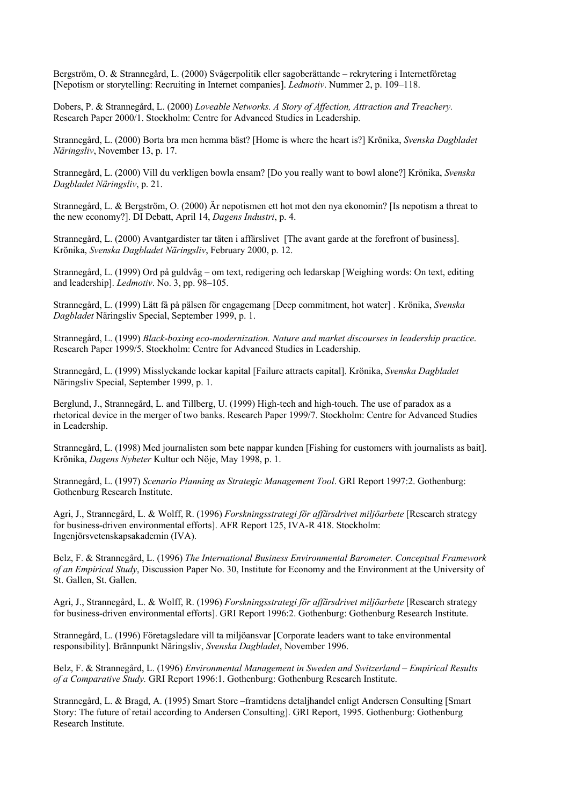Bergström, O. & Strannegård, L. (2000) Svågerpolitik eller sagoberättande – rekrytering i Internetföretag [Nepotism or storytelling: Recruiting in Internet companies]. *Ledmotiv*. Nummer 2, p. 109–118.

Dobers, P. & Strannegård, L. (2000) *Loveable Networks. A Story of Affection, Attraction and Treachery.* Research Paper 2000/1. Stockholm: Centre for Advanced Studies in Leadership.

Strannegård, L. (2000) Borta bra men hemma bäst? [Home is where the heart is?] Krönika, *Svenska Dagbladet Näringsliv*, November 13, p. 17.

Strannegård, L. (2000) Vill du verkligen bowla ensam? [Do you really want to bowl alone?] Krönika, *Svenska Dagbladet Näringsliv*, p. 21.

Strannegård, L. & Bergström, O. (2000) Är nepotismen ett hot mot den nya ekonomin? [Is nepotism a threat to the new economy?]. DI Debatt, April 14, *Dagens Industri*, p. 4.

Strannegård, L. (2000) Avantgardister tar täten i affärslivet [The avant garde at the forefront of business]. Krönika, *Svenska Dagbladet Näringsliv*, February 2000, p. 12.

Strannegård, L. (1999) Ord på guldvåg – om text, redigering och ledarskap [Weighing words: On text, editing and leadership]. *Ledmotiv*. No. 3, pp. 98–105.

Strannegård, L. (1999) Lätt få på pälsen för engagemang [Deep commitment, hot water] . Krönika, *Svenska Dagbladet* Näringsliv Special, September 1999, p. 1.

Strannegård, L. (1999) *Black-boxing eco-modernization. Nature and market discourses in leadership practice*. Research Paper 1999/5. Stockholm: Centre for Advanced Studies in Leadership.

Strannegård, L. (1999) Misslyckande lockar kapital [Failure attracts capital]. Krönika, *Svenska Dagbladet* Näringsliv Special, September 1999, p. 1.

Berglund, J., Strannegård, L. and Tillberg, U. (1999) High-tech and high-touch. The use of paradox as a rhetorical device in the merger of two banks. Research Paper 1999/7. Stockholm: Centre for Advanced Studies in Leadership.

Strannegård, L. (1998) Med journalisten som bete nappar kunden [Fishing for customers with journalists as bait]. Krönika, *Dagens Nyheter* Kultur och Nöje, May 1998, p. 1.

Strannegård, L. (1997) *Scenario Planning as Strategic Management Tool*. GRI Report 1997:2. Gothenburg: Gothenburg Research Institute.

Agri, J., Strannegård, L. & Wolff, R. (1996) *Forskningsstrategi för affärsdrivet miljöarbete* [Research strategy for business-driven environmental efforts]. AFR Report 125, IVA-R 418. Stockholm: Ingenjörsvetenskapsakademin (IVA).

Belz, F. & Strannegård, L. (1996) *The International Business Environmental Barometer. Conceptual Framework of an Empirical Study*, Discussion Paper No. 30, Institute for Economy and the Environment at the University of St. Gallen, St. Gallen.

Agri, J., Strannegård, L. & Wolff, R. (1996) *Forskningsstrategi för affärsdrivet miljöarbete* [Research strategy for business-driven environmental efforts]. GRI Report 1996:2. Gothenburg: Gothenburg Research Institute.

Strannegård, L. (1996) Företagsledare vill ta miljöansvar [Corporate leaders want to take environmental responsibility]. Brännpunkt Näringsliv, *Svenska Dagbladet*, November 1996.

Belz, F. & Strannegård, L. (1996) *Environmental Management in Sweden and Switzerland – Empirical Results of a Comparative Study.* GRI Report 1996:1. Gothenburg: Gothenburg Research Institute.

Strannegård, L. & Bragd, A. (1995) Smart Store –framtidens detaljhandel enligt Andersen Consulting [Smart Story: The future of retail according to Andersen Consulting]. GRI Report, 1995. Gothenburg: Gothenburg Research Institute.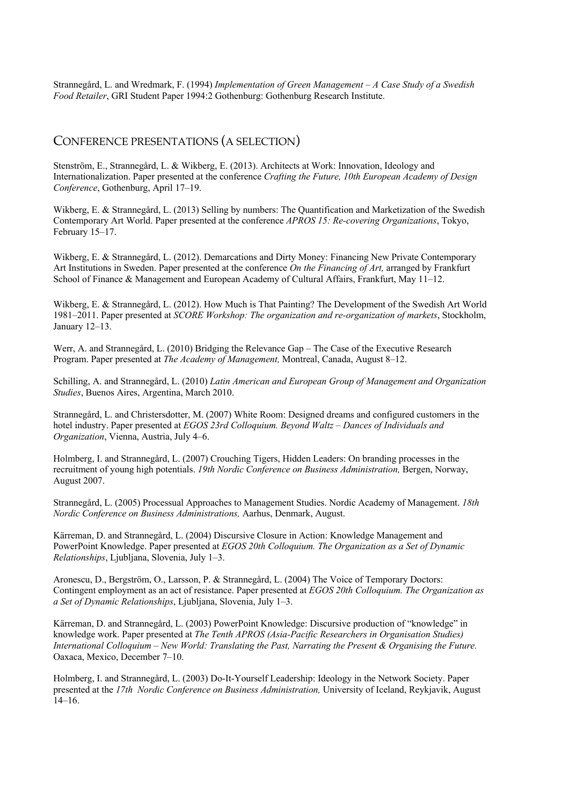Strannegård, L. and Wredmark, F. (1994) *Implementation of Green Management – A Case Study of a Swedish Food Retailer*, GRI Student Paper 1994:2 Gothenburg: Gothenburg Research Institute.

#### CONFERENCE PRESENTATIONS (A SELECTION)

Stenström, E., Strannegård, L. & Wikberg, E. (2013). Architects at Work: Innovation, Ideology and Internationalization. Paper presented at the conference *Crafting the Future, 10th European Academy of Design Conference*, Gothenburg, April 17–19.

Wikberg, E. & Strannegård, L. (2013) Selling by numbers: The Quantification and Marketization of the Swedish Contemporary Art World. Paper presented at the conference *APROS 15: Re-covering Organizations*, Tokyo, February 15–17.

Wikberg, E. & Strannegård, L. (2012). Demarcations and Dirty Money: Financing New Private Contemporary Art Institutions in Sweden. Paper presented at the conference *On the Financing of Art,* arranged by Frankfurt School of Finance & Management and European Academy of Cultural Affairs, Frankfurt, May 11–12.

Wikberg, E. & Strannegård, L. (2012). How Much is That Painting? The Development of the Swedish Art World 1981–2011. Paper presented at *SCORE Workshop: The organization and re-organization of markets*, Stockholm, January 12–13.

Werr, A. and Strannegård, L. (2010) Bridging the Relevance Gap – The Case of the Executive Research Program. Paper presented at *The Academy of Management,* Montreal, Canada, August 8–12.

Schilling, A. and Strannegård, L. (2010) *Latin American and European Group of Management and Organization Studies*, Buenos Aires, Argentina, March 2010.

Strannegård, L. and Christersdotter, M. (2007) White Room: Designed dreams and configured customers in the hotel industry. Paper presented at *EGOS 23rd Colloquium. Beyond Waltz – Dances of Individuals and Organization*, Vienna, Austria, July 4–6.

Holmberg, I. and Strannegård, L. (2007) Crouching Tigers, Hidden Leaders: On branding processes in the recruitment of young high potentials. *19th Nordic Conference on Business Administration,* Bergen, Norway, August 2007.

Strannegård, L. (2005) Processual Approaches to Management Studies. Nordic Academy of Management. *18th Nordic Conference on Business Administrations,* Aarhus, Denmark, August.

Kärreman, D. and Strannegård, L. (2004) Discursive Closure in Action: Knowledge Management and PowerPoint Knowledge. Paper presented at *EGOS 20th Colloquium. The Organization as a Set of Dynamic Relationships*, Ljubljana, Slovenia, July 1–3.

Aronescu, D., Bergström, O., Larsson, P. & Strannegård, L. (2004) The Voice of Temporary Doctors: Contingent employment as an act of resistance. Paper presented at *EGOS 20th Colloquium. The Organization as a Set of Dynamic Relationships*, Ljubljana, Slovenia, July 1–3.

Kärreman, D. and Strannegård, L. (2003) PowerPoint Knowledge: Discursive production of "knowledge" in knowledge work. Paper presented at *The Tenth APROS (Asia-Pacific Researchers in Organisation Studies) International Colloquium – New World: Translating the Past, Narrating the Present & Organising the Future.* Oaxaca, Mexico, December 7–10.

Holmberg, I. and Strannegård, L. (2003) Do-It-Yourself Leadership: Ideology in the Network Society. Paper presented at the *17th Nordic Conference on Business Administration,* University of Iceland, Reykjavik, August 14–16.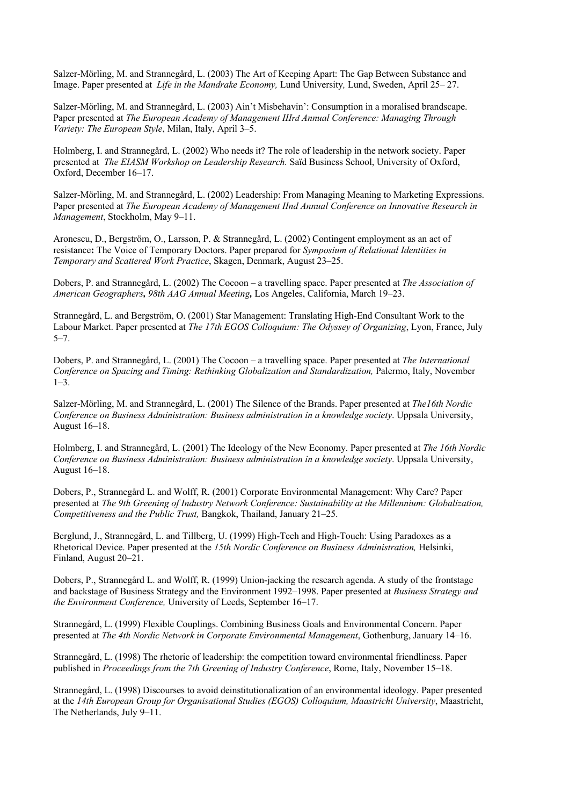Salzer-Mörling, M. and Strannegård, L. (2003) The Art of Keeping Apart: The Gap Between Substance and Image. Paper presented at *Life in the Mandrake Economy,* Lund University*,* Lund, Sweden, April 25– 27.

Salzer-Mörling, M. and Strannegård, L. (2003) Ain't Misbehavin': Consumption in a moralised brandscape. Paper presented at *The European Academy of Management IIIrd Annual Conference: Managing Through Variety: The European Style*, Milan, Italy, April 3–5.

Holmberg, I. and Strannegård, L. (2002) Who needs it? The role of leadership in the network society. Paper presented at *The EIASM Workshop on Leadership Research.* Saïd Business School, University of Oxford, Oxford, December 16–17.

Salzer-Mörling, M. and Strannegård, L. (2002) Leadership: From Managing Meaning to Marketing Expressions. Paper presented at *The European Academy of Management IInd Annual Conference on Innovative Research in Management*, Stockholm, May 9–11.

Aronescu, D., Bergström, O., Larsson, P. & Strannegård, L. (2002) Contingent employment as an act of resistance**:** The Voice of Temporary Doctors. Paper prepared for *Symposium of Relational Identities in Temporary and Scattered Work Practice*, Skagen, Denmark, August 23–25.

Dobers, P. and Strannegård, L. (2002) The Cocoon – a travelling space. Paper presented at *The Association of American Geographers, 98th AAG Annual Meeting,* Los Angeles, California, March 19–23.

Strannegård, L. and Bergström, O. (2001) Star Management: Translating High-End Consultant Work to the Labour Market. Paper presented at *The 17th EGOS Colloquium: The Odyssey of Organizing*, Lyon, France, July 5–7.

Dobers, P. and Strannegård, L. (2001) The Cocoon – a travelling space. Paper presented at *The International Conference on Spacing and Timing: Rethinking Globalization and Standardization,* Palermo, Italy, November  $1-3.$ 

Salzer-Mörling, M. and Strannegård, L. (2001) The Silence of the Brands. Paper presented at *The16th Nordic Conference on Business Administration: Business administration in a knowledge society*. Uppsala University, August 16–18.

Holmberg, I. and Strannegård, L. (2001) The Ideology of the New Economy. Paper presented at *The 16th Nordic Conference on Business Administration: Business administration in a knowledge society*. Uppsala University, August 16–18.

Dobers, P., Strannegård L. and Wolff, R. (2001) Corporate Environmental Management: Why Care? Paper presented at *The 9th Greening of Industry Network Conference: Sustainability at the Millennium: Globalization, Competitiveness and the Public Trust,* Bangkok, Thailand, January 21–25.

Berglund, J., Strannegård, L. and Tillberg, U. (1999) High-Tech and High-Touch: Using Paradoxes as a Rhetorical Device. Paper presented at the *15th Nordic Conference on Business Administration,* Helsinki, Finland, August 20–21.

Dobers, P., Strannegård L. and Wolff, R. (1999) Union-jacking the research agenda. A study of the frontstage and backstage of Business Strategy and the Environment 1992–1998. Paper presented at *Business Strategy and the Environment Conference,* University of Leeds, September 16–17.

Strannegård, L. (1999) Flexible Couplings. Combining Business Goals and Environmental Concern. Paper presented at *The 4th Nordic Network in Corporate Environmental Management*, Gothenburg, January 14–16.

Strannegård, L. (1998) The rhetoric of leadership: the competition toward environmental friendliness. Paper published in *Proceedings from the 7th Greening of Industry Conference*, Rome, Italy, November 15–18.

Strannegård, L. (1998) Discourses to avoid deinstitutionalization of an environmental ideology. Paper presented at the *14th European Group for Organisational Studies (EGOS) Colloquium, Maastricht University*, Maastricht, The Netherlands, July 9–11.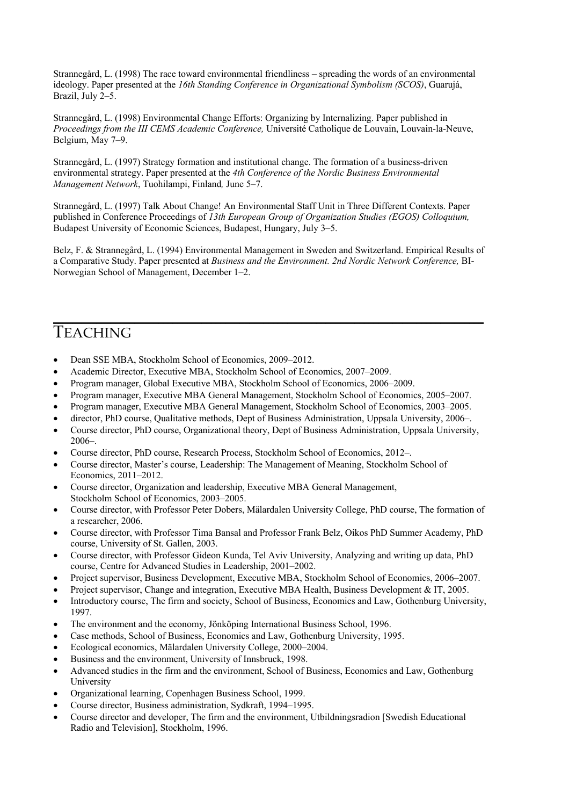Strannegård, L. (1998) The race toward environmental friendliness – spreading the words of an environmental ideology. Paper presented at the *16th Standing Conference in Organizational Symbolism (SCOS)*, Guarujá, Brazil, July 2–5.

Strannegård, L. (1998) Environmental Change Efforts: Organizing by Internalizing. Paper published in *Proceedings from the III CEMS Academic Conference,* Université Catholique de Louvain, Louvain-la-Neuve, Belgium, May 7–9.

Strannegård, L. (1997) Strategy formation and institutional change. The formation of a business-driven environmental strategy. Paper presented at the *4th Conference of the Nordic Business Environmental Management Network*, Tuohilampi, Finland*,* June 5–7.

Strannegård, L. (1997) Talk About Change! An Environmental Staff Unit in Three Different Contexts. Paper published in Conference Proceedings of *13th European Group of Organization Studies (EGOS) Colloquium,*  Budapest University of Economic Sciences, Budapest, Hungary, July 3–5.

Belz, F. & Strannegård, L. (1994) Environmental Management in Sweden and Switzerland. Empirical Results of a Comparative Study. Paper presented at *Business and the Environment. 2nd Nordic Network Conference,* BI-Norwegian School of Management, December 1–2.

 $\mathcal{L}_\mathcal{L} = \mathcal{L}_\mathcal{L} = \mathcal{L}_\mathcal{L} = \mathcal{L}_\mathcal{L} = \mathcal{L}_\mathcal{L} = \mathcal{L}_\mathcal{L} = \mathcal{L}_\mathcal{L} = \mathcal{L}_\mathcal{L} = \mathcal{L}_\mathcal{L} = \mathcal{L}_\mathcal{L} = \mathcal{L}_\mathcal{L} = \mathcal{L}_\mathcal{L} = \mathcal{L}_\mathcal{L} = \mathcal{L}_\mathcal{L} = \mathcal{L}_\mathcal{L} = \mathcal{L}_\mathcal{L} = \mathcal{L}_\mathcal{L}$ 

# **TEACHING**

- Dean SSE MBA, Stockholm School of Economics, 2009–2012.
- Academic Director, Executive MBA, Stockholm School of Economics, 2007–2009.
- Program manager, Global Executive MBA, Stockholm School of Economics, 2006–2009.
- Program manager, Executive MBA General Management, Stockholm School of Economics, 2005–2007.
- Program manager, Executive MBA General Management, Stockholm School of Economics, 2003–2005.
- director, PhD course, Qualitative methods, Dept of Business Administration, Uppsala University, 2006–.
- Course director, PhD course, Organizational theory, Dept of Business Administration, Uppsala University, 2006–.
- Course director, PhD course, Research Process, Stockholm School of Economics, 2012–.
- Course director, Master's course, Leadership: The Management of Meaning, Stockholm School of Economics, 2011–2012.
- Course director, Organization and leadership, Executive MBA General Management, Stockholm School of Economics, 2003–2005.
- Course director, with Professor Peter Dobers, Mälardalen University College, PhD course, The formation of a researcher, 2006.
- Course director, with Professor Tima Bansal and Professor Frank Belz, Oikos PhD Summer Academy, PhD course, University of St. Gallen, 2003.
- Course director, with Professor Gideon Kunda, Tel Aviv University, Analyzing and writing up data, PhD course, Centre for Advanced Studies in Leadership, 2001–2002.
- Project supervisor, Business Development, Executive MBA, Stockholm School of Economics, 2006–2007.
- Project supervisor, Change and integration, Executive MBA Health, Business Development & IT, 2005.
- Introductory course, The firm and society, School of Business, Economics and Law, Gothenburg University, 1997.
- The environment and the economy, Jönköping International Business School, 1996.
- Case methods, School of Business, Economics and Law, Gothenburg University, 1995.
- Ecological economics, Mälardalen University College, 2000–2004.
- Business and the environment, University of Innsbruck, 1998.
- Advanced studies in the firm and the environment, School of Business, Economics and Law, Gothenburg University
- Organizational learning, Copenhagen Business School, 1999.
- Course director, Business administration, Sydkraft, 1994–1995.
- Course director and developer, The firm and the environment, Utbildningsradion [Swedish Educational Radio and Television], Stockholm, 1996.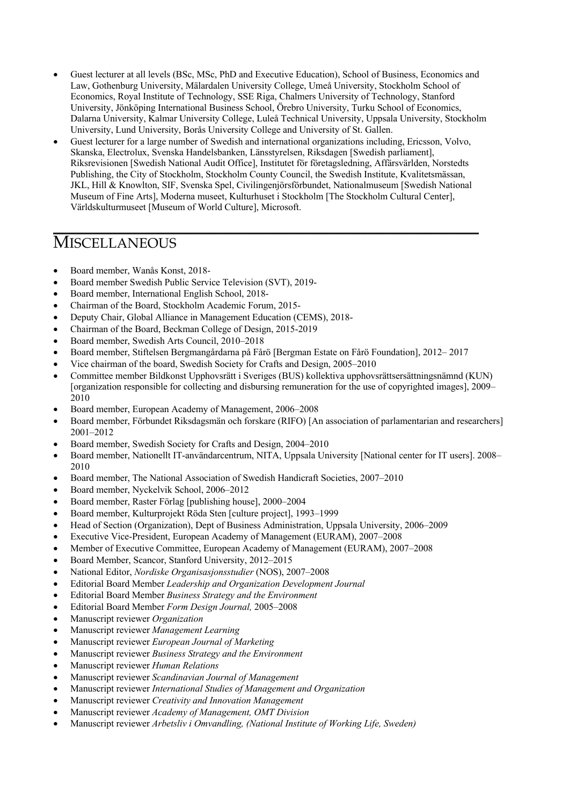- Guest lecturer at all levels (BSc, MSc, PhD and Executive Education), School of Business, Economics and Law, Gothenburg University, Mälardalen University College, Umeå University, Stockholm School of Economics, Royal Institute of Technology, SSE Riga, Chalmers University of Technology, Stanford University, Jönköping International Business School, Örebro University, Turku School of Economics, Dalarna University, Kalmar University College, Luleå Technical University, Uppsala University, Stockholm University, Lund University, Borås University College and University of St. Gallen.
- Guest lecturer for a large number of Swedish and international organizations including, Ericsson, Volvo, Skanska, Electrolux, Svenska Handelsbanken, Länsstyrelsen, Riksdagen [Swedish parliament], Riksrevisionen [Swedish National Audit Office], Institutet för företagsledning, Affärsvärlden, Norstedts Publishing, the City of Stockholm, Stockholm County Council, the Swedish Institute, Kvalitetsmässan, JKL, Hill & Knowlton, SIF, Svenska Spel, Civilingenjörsförbundet, Nationalmuseum [Swedish National Museum of Fine Arts], Moderna museet, Kulturhuset i Stockholm [The Stockholm Cultural Center], Världskulturmuseet [Museum of World Culture], Microsoft.

\_\_\_\_\_\_\_\_\_\_\_\_\_\_\_\_\_\_\_\_\_\_\_\_\_\_\_\_\_\_\_\_\_\_\_\_\_\_\_\_\_\_\_\_\_\_\_\_\_\_\_\_\_\_\_\_\_\_\_\_\_\_\_\_\_\_\_\_\_\_\_\_\_\_\_\_\_\_\_\_\_\_\_\_\_\_\_\_\_

## **MISCELLANEOUS**

- Board member, Wanås Konst, 2018-
- Board member Swedish Public Service Television (SVT), 2019-
- Board member, International English School, 2018-
- Chairman of the Board, Stockholm Academic Forum, 2015-
- Deputy Chair, Global Alliance in Management Education (CEMS), 2018-
- Chairman of the Board, Beckman College of Design, 2015-2019
- Board member, Swedish Arts Council, 2010–2018
- Board member, Stiftelsen Bergmangårdarna på Fårö [Bergman Estate on Fårö Foundation], 2012– 2017
- Vice chairman of the board, Swedish Society for Crafts and Design, 2005–2010
- Committee member Bildkonst Upphovsrätt i Sveriges (BUS) kollektiva upphovsrättsersättningsnämnd (KUN) [organization responsible for collecting and disbursing remuneration for the use of copyrighted images], 2009– 2010
- Board member, European Academy of Management, 2006–2008
- Board member, Förbundet Riksdagsmän och forskare (RIFO) [An association of parlamentarian and researchers] 2001–2012
- Board member, Swedish Society for Crafts and Design, 2004–2010
- Board member, Nationellt IT-användarcentrum, NITA, Uppsala University [National center for IT users]. 2008– 2010
- Board member, The National Association of Swedish Handicraft Societies, 2007–2010
- Board member, Nyckelvik School, 2006–2012
- Board member, Raster Förlag [publishing house], 2000–2004
- Board member, Kulturprojekt Röda Sten [culture project], 1993–1999
- Head of Section (Organization), Dept of Business Administration, Uppsala University, 2006–2009
- Executive Vice-President, European Academy of Management (EURAM), 2007–2008
- Member of Executive Committee, European Academy of Management (EURAM), 2007–2008
- Board Member, Scancor, Stanford University, 2012–2015
- National Editor, *Nordiske Organisasjonsstudier* (NOS), 2007–2008
- Editorial Board Member *Leadership and Organization Development Journal*
- Editorial Board Member *Business Strategy and the Environment*
- Editorial Board Member *Form Design Journal,* 2005–2008
- Manuscript reviewer *Organization*
- Manuscript reviewer *Management Learning*
- Manuscript reviewer *European Journal of Marketing*
- Manuscript reviewer *Business Strategy and the Environment*
- Manuscript reviewer *Human Relations*
- Manuscript reviewer *Scandinavian Journal of Management*
- Manuscript reviewer *International Studies of Management and Organization*
- Manuscript reviewer *Creativity and Innovation Management*
- Manuscript reviewer *Academy of Management, OMT Division*
- Manuscript reviewer *Arbetsliv i Omvandling, (National Institute of Working Life, Sweden)*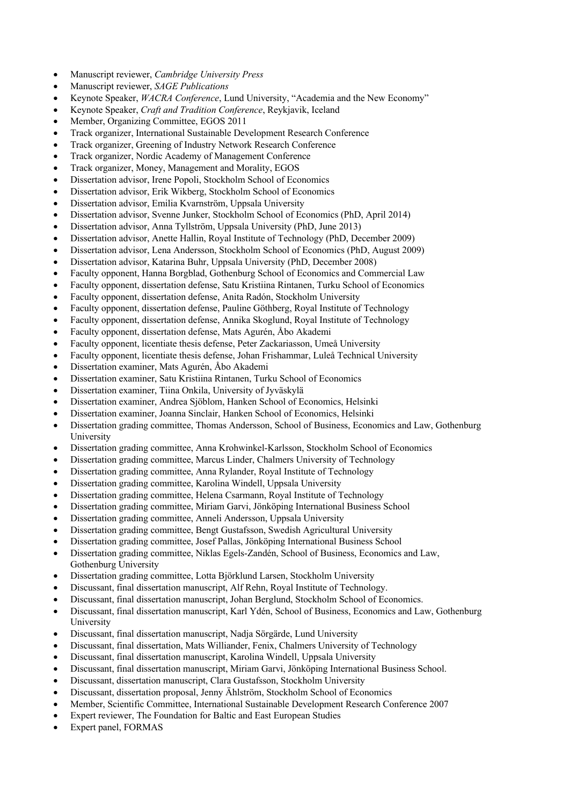- Manuscript reviewer, *Cambridge University Press*
- Manuscript reviewer, *SAGE Publications*
- Keynote Speaker, *WACRA Conference*, Lund University, "Academia and the New Economy"
- Keynote Speaker, *Craft and Tradition Conference*, Reykjavik, Iceland
- Member, Organizing Committee, EGOS 2011
- Track organizer, International Sustainable Development Research Conference
- Track organizer, Greening of Industry Network Research Conference
- Track organizer, Nordic Academy of Management Conference
- Track organizer, Money, Management and Morality, EGOS
- Dissertation advisor, Irene Popoli, Stockholm School of Economics
- Dissertation advisor, Erik Wikberg, Stockholm School of Economics
- Dissertation advisor, Emilia Kvarnström, Uppsala University
- Dissertation advisor, Svenne Junker, Stockholm School of Economics (PhD, April 2014)
- Dissertation advisor, Anna Tyllström, Uppsala University (PhD, June 2013)
- Dissertation advisor, Anette Hallin, Royal Institute of Technology (PhD, December 2009)
- Dissertation advisor, Lena Andersson, Stockholm School of Economics (PhD, August 2009)
- Dissertation advisor, Katarina Buhr, Uppsala University (PhD, December 2008)
- Faculty opponent, Hanna Borgblad, Gothenburg School of Economics and Commercial Law
- Faculty opponent, dissertation defense, Satu Kristiina Rintanen, Turku School of Economics
- Faculty opponent, dissertation defense, Anita Radón, Stockholm University
- Faculty opponent, dissertation defense, Pauline Göthberg, Royal Institute of Technology
- Faculty opponent, dissertation defense, Annika Skoglund, Royal Institute of Technology
- Faculty opponent, dissertation defense, Mats Agurén, Åbo Akademi
- Faculty opponent, licentiate thesis defense, Peter Zackariasson, Umeå University
- Faculty opponent, licentiate thesis defense, Johan Frishammar, Luleå Technical University
- Dissertation examiner, Mats Agurén, Åbo Akademi
- Dissertation examiner, Satu Kristiina Rintanen, Turku School of Economics
- Dissertation examiner, Tiina Onkila, University of Jyväskylä
- Dissertation examiner, Andrea Sjöblom, Hanken School of Economics, Helsinki
- Dissertation examiner, Joanna Sinclair, Hanken School of Economics, Helsinki
- Dissertation grading committee, Thomas Andersson, School of Business, Economics and Law, Gothenburg University
- Dissertation grading committee, Anna Krohwinkel-Karlsson, Stockholm School of Economics
- Dissertation grading committee, Marcus Linder, Chalmers University of Technology
- Dissertation grading committee, Anna Rylander, Royal Institute of Technology
- Dissertation grading committee, Karolina Windell, Uppsala University
- Dissertation grading committee, Helena Csarmann, Royal Institute of Technology
- Dissertation grading committee, Miriam Garvi, Jönköping International Business School
- Dissertation grading committee, Anneli Andersson, Uppsala University
- Dissertation grading committee, Bengt Gustafsson, Swedish Agricultural University
- Dissertation grading committee, Josef Pallas, Jönköping International Business School
- Dissertation grading committee, Niklas Egels-Zandén, School of Business, Economics and Law, Gothenburg University
- Dissertation grading committee, Lotta Björklund Larsen, Stockholm University
- Discussant, final dissertation manuscript, Alf Rehn, Royal Institute of Technology.
- Discussant, final dissertation manuscript, Johan Berglund, Stockholm School of Economics.
- Discussant, final dissertation manuscript, Karl Ydén, School of Business, Economics and Law, Gothenburg University
- Discussant, final dissertation manuscript, Nadja Sörgärde, Lund University
- Discussant, final dissertation, Mats Williander, Fenix, Chalmers University of Technology
- Discussant, final dissertation manuscript, Karolina Windell, Uppsala University
- Discussant, final dissertation manuscript, Miriam Garvi, Jönköping International Business School.
- Discussant, dissertation manuscript, Clara Gustafsson, Stockholm University
- Discussant, dissertation proposal, Jenny Ählström, Stockholm School of Economics
- Member, Scientific Committee, International Sustainable Development Research Conference 2007
- Expert reviewer, The Foundation for Baltic and East European Studies
- Expert panel, FORMAS